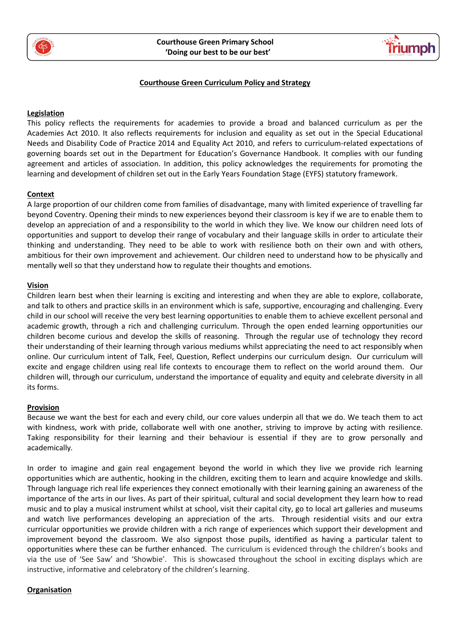



## **Courthouse Green Curriculum Policy and Strategy**

## **Legislation**

This policy reflects the requirements for academies to provide a broad and balanced curriculum as per the [Academies Act 2010.](http://www.legislation.gov.uk/ukpga/2010/32/section/1A) It also reflects requirements for inclusion and equality as set out in the [Special Educational](https://www.gov.uk/government/publications/send-code-of-practice-0-to-25)  [Needs and Disability Code of Practice 2014](https://www.gov.uk/government/publications/send-code-of-practice-0-to-25) and [Equality Act 2010,](http://www.legislation.gov.uk/ukpga/2010/15/part/6/chapter/1) and refers to curriculum-related expectations of governing boards set out in the Department for Education's [Governance Handbook.](https://www.gov.uk/government/publications/governance-handbook) It complies with our funding agreement and articles of association. In addition, this policy acknowledges the requirements for promoting the learning and development of children set out in th[e Early Years Foundation Stage \(EYFS\) statutory framework.](https://www.gov.uk/government/uploads/system/uploads/attachment_data/file/596629/EYFS_STATUTORY_FRAMEWORK_2017.pdf)

## **Context**

A large proportion of our children come from families of disadvantage, many with limited experience of travelling far beyond Coventry. Opening their minds to new experiences beyond their classroom is key if we are to enable them to develop an appreciation of and a responsibility to the world in which they live. We know our children need lots of opportunities and support to develop their range of vocabulary and their language skills in order to articulate their thinking and understanding. They need to be able to work with resilience both on their own and with others, ambitious for their own improvement and achievement. Our children need to understand how to be physically and mentally well so that they understand how to regulate their thoughts and emotions.

### **Vision**

Children learn best when their learning is exciting and interesting and when they are able to explore, collaborate, and talk to others and practice skills in an environment which is safe, supportive, encouraging and challenging. Every child in our school will receive the very best learning opportunities to enable them to achieve excellent personal and academic growth, through a rich and challenging curriculum. Through the open ended learning opportunities our children become curious and develop the skills of reasoning. Through the regular use of technology they record their understanding of their learning through various mediums whilst appreciating the need to act responsibly when online. Our curriculum intent of Talk, Feel, Question, Reflect underpins our curriculum design. Our curriculum will excite and engage children using real life contexts to encourage them to reflect on the world around them. Our children will, through our curriculum, understand the importance of equality and equity and celebrate diversity in all its forms.

## **Provision**

Because we want the best for each and every child, our core values underpin all that we do. We teach them to act with kindness, work with pride, collaborate well with one another, striving to improve by acting with resilience. Taking responsibility for their learning and their behaviour is essential if they are to grow personally and academically*.*

In order to imagine and gain real engagement beyond the world in which they live we provide rich learning opportunities which are authentic, hooking in the children, exciting them to learn and acquire knowledge and skills. Through language rich real life experiences they connect emotionally with their learning gaining an awareness of the importance of the arts in our lives. As part of their spiritual, cultural and social development they learn how to read music and to play a musical instrument whilst at school, visit their capital city, go to local art galleries and museums and watch live performances developing an appreciation of the arts. Through residential visits and our extra curricular opportunities we provide children with a rich range of experiences which support their development and improvement beyond the classroom. We also signpost those pupils, identified as having a particular talent to opportunities where these can be further enhanced. The curriculum is evidenced through the children's books and via the use of 'See Saw' and 'Showbie'. This is showcased throughout the school in exciting displays which are instructive, informative and celebratory of the children's learning.

#### **Organisation**